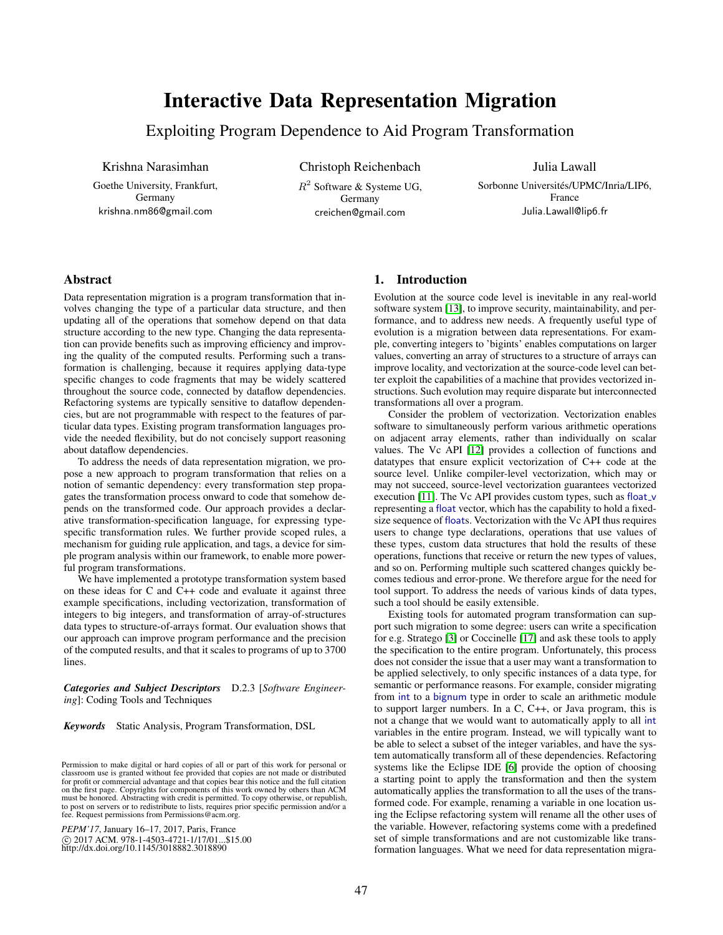# Interactive Data Representation Migration

Exploiting Program Dependence to Aid Program Transformation

Krishna Narasimhan

Goethe University, Frankfurt, Germany krishna.nm86@gmail.com

Christoph Reichenbach  $R^2$  Software & Systeme UG, Germany creichen@gmail.com

Julia Lawall Sorbonne Universités/UPMC/Inria/LIP6,

France Julia.Lawall@lip6.fr

# Abstract

Data representation migration is a program transformation that involves changing the type of a particular data structure, and then updating all of the operations that somehow depend on that data structure according to the new type. Changing the data representation can provide benefits such as improving efficiency and improving the quality of the computed results. Performing such a transformation is challenging, because it requires applying data-type specific changes to code fragments that may be widely scattered throughout the source code, connected by dataflow dependencies. Refactoring systems are typically sensitive to dataflow dependencies, but are not programmable with respect to the features of particular data types. Existing program transformation languages provide the needed flexibility, but do not concisely support reasoning about dataflow dependencies.

To address the needs of data representation migration, we propose a new approach to program transformation that relies on a notion of semantic dependency: every transformation step propagates the transformation process onward to code that somehow depends on the transformed code. Our approach provides a declarative transformation-specification language, for expressing typespecific transformation rules. We further provide scoped rules, a mechanism for guiding rule application, and tags, a device for simple program analysis within our framework, to enable more powerful program transformations.

We have implemented a prototype transformation system based on these ideas for C and C++ code and evaluate it against three example specifications, including vectorization, transformation of integers to big integers, and transformation of array-of-structures data types to structure-of-arrays format. Our evaluation shows that our approach can improve program performance and the precision of the computed results, and that it scales to programs of up to 3700 lines.

*Categories and Subject Descriptors* D.2.3 [*Software Engineering*]: Coding Tools and Techniques

*Keywords* Static Analysis, Program Transformation, DSL

PEPM '17 January 16–17, 2017, Paris, France *PEPM'17*, January 16–17, 2017, Paris, France © 2017 ACM. 978-1-4503-4721-1/17/01...\$15.00<br>http://dx.doi.org/10.1145/3018882.3018890

# 1. Introduction

Evolution at the source code level is inevitable in any real-world software system [\[13\]](#page-11-0), to improve security, maintainability, and performance, and to address new needs. A frequently useful type of evolution is a migration between data representations. For example, converting integers to 'bigints' enables computations on larger values, converting an array of structures to a structure of arrays can improve locality, and vectorization at the source-code level can better exploit the capabilities of a machine that provides vectorized instructions. Such evolution may require disparate but interconnected transformations all over a program.

Consider the problem of vectorization. Vectorization enables software to simultaneously perform various arithmetic operations on adjacent array elements, rather than individually on scalar values. The Vc API [\[12\]](#page-11-1) provides a collection of functions and datatypes that ensure explicit vectorization of C++ code at the source level. Unlike compiler-level vectorization, which may or may not succeed, source-level vectorization guarantees vectorized execution [\[11\]](#page-11-2). The Vc API provides custom types, such as float\_v representing a float vector, which has the capability to hold a fixedsize sequence of floats. Vectorization with the Vc API thus requires users to change type declarations, operations that use values of these types, custom data structures that hold the results of these operations, functions that receive or return the new types of values, and so on. Performing multiple such scattered changes quickly becomes tedious and error-prone. We therefore argue for the need for tool support. To address the needs of various kinds of data types, such a tool should be easily extensible.

Existing tools for automated program transformation can support such migration to some degree: users can write a specification for e.g. Stratego [\[3\]](#page-11-3) or Coccinelle [\[17\]](#page-11-4) and ask these tools to apply the specification to the entire program. Unfortunately, this process does not consider the issue that a user may want a transformation to be applied selectively, to only specific instances of a data type, for semantic or performance reasons. For example, consider migrating from int to a bignum type in order to scale an arithmetic module to support larger numbers. In a C, C++, or Java program, this is not a change that we would want to automatically apply to all int variables in the entire program. Instead, we will typically want to be able to select a subset of the integer variables, and have the system automatically transform all of these dependencies. Refactoring systems like the Eclipse IDE [\[6\]](#page-11-5) provide the option of choosing a starting point to apply the transformation and then the system automatically applies the transformation to all the uses of the transformed code. For example, renaming a variable in one location using the Eclipse refactoring system will rename all the other uses of the variable. However, refactoring systems come with a predefined set of simple transformations and are not customizable like transformation languages. What we need for data representation migra-

For print of commissional avantage and that copies ocan ansi notice and the rist page. Copyrights for components of this work owned by others than ACM must be honored. Abstracting with credit is permitted. To copy otherwis to post on servers or to redistribute to lists, requires prior specific permission and/or a fee. Request permissions from Permissions @acm.org. Permission to make digital or hard copies of all or part of this work for personal or classroom use is granted without fee provided that copies are not made or distributed for profit or commercial advantage and that copies bear this notice and the full citation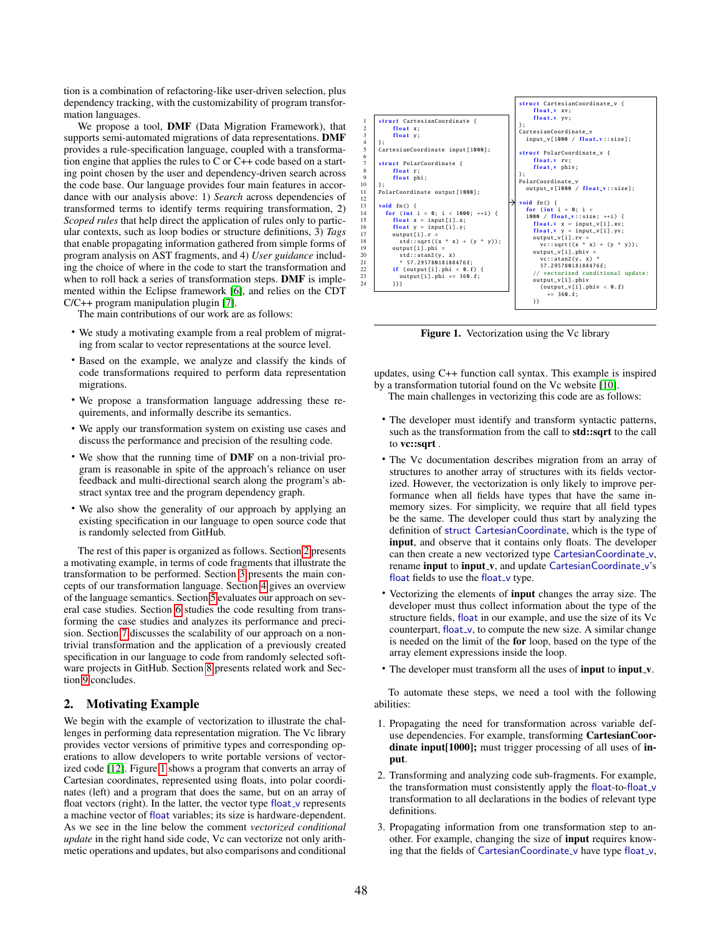tion is a combination of refactoring-like user-driven selection, plus dependency tracking, with the customizability of program transformation languages.

We propose a tool, DMF (Data Migration Framework), that supports semi-automated migrations of data representations. DMF provides a rule-specification language, coupled with a transformation engine that applies the rules to C or C++ code based on a starting point chosen by the user and dependency-driven search across the code base. Our language provides four main features in accordance with our analysis above: 1) *Search* across dependencies of transformed terms to identify terms requiring transformation, 2) *Scoped rules* that help direct the application of rules only to particular contexts, such as loop bodies or structure definitions, 3) *Tags* that enable propagating information gathered from simple forms of program analysis on AST fragments, and 4) *User guidance* including the choice of where in the code to start the transformation and when to roll back a series of transformation steps. DMF is implemented within the Eclipse framework [\[6\]](#page-11-5), and relies on the CDT C/C++ program manipulation plugin [\[7\]](#page-11-6).

The main contributions of our work are as follows:

- We study a motivating example from a real problem of migrating from scalar to vector representations at the source level.
- Based on the example, we analyze and classify the kinds of code transformations required to perform data representation migrations.
- We propose a transformation language addressing these requirements, and informally describe its semantics.
- We apply our transformation system on existing use cases and discuss the performance and precision of the resulting code.
- We show that the running time of DMF on a non-trivial program is reasonable in spite of the approach's reliance on user feedback and multi-directional search along the program's abstract syntax tree and the program dependency graph.
- We also show the generality of our approach by applying an existing specification in our language to open source code that is randomly selected from GitHub.

The rest of this paper is organized as follows. Section [2](#page-1-0) presents a motivating example, in terms of code fragments that illustrate the transformation to be performed. Section [3](#page-2-0) presents the main concepts of our transformation language. Section [4](#page-3-0) gives an overview of the language semantics. Section [5](#page-6-0) evaluates our approach on several case studies. Section [6](#page-8-0) studies the code resulting from transforming the case studies and analyzes its performance and precision. Section [7](#page-8-1) discusses the scalability of our approach on a nontrivial transformation and the application of a previously created specification in our language to code from randomly selected software projects in GitHub. Section [8](#page-9-0) presents related work and Section [9](#page-11-7) concludes.

# <span id="page-1-0"></span>2. Motivating Example

We begin with the example of vectorization to illustrate the challenges in performing data representation migration. The Vc library provides vector versions of primitive types and corresponding operations to allow developers to write portable versions of vectorized code [\[12\]](#page-11-1). Figure [1](#page-1-1) shows a program that converts an array of Cartesian coordinates, represented using floats, into polar coordinates (left) and a program that does the same, but on an array of float vectors (right). In the latter, the vector type float\_v represents a machine vector of float variables; its size is hardware-dependent. As we see in the line below the comment *vectorized conditional update* in the right hand side code, Vc can vectorize not only arithmetic operations and updates, but also comparisons and conditional



<span id="page-1-1"></span>Figure 1. Vectorization using the Vc library

updates, using C++ function call syntax. This example is inspired by a transformation tutorial found on the Vc website [\[10\]](#page-11-8).

- The main challenges in vectorizing this code are as follows:
- The developer must identify and transform syntactic patterns, such as the transformation from the call to **std::sqrt** to the call to vc::sqrt .
- The Vc documentation describes migration from an array of structures to another array of structures with its fields vectorized. However, the vectorization is only likely to improve performance when all fields have types that have the same inmemory sizes. For simplicity, we require that all field types be the same. The developer could thus start by analyzing the definition of struct CartesianCoordinate, which is the type of input, and observe that it contains only floats. The developer can then create a new vectorized type CartesianCoordinate\_v, rename input to input v, and update Cartesian Coordinate v's float fields to use the float\_v type.
- Vectorizing the elements of **input** changes the array size. The developer must thus collect information about the type of the structure fields, float in our example, and use the size of its Vc counterpart, float v, to compute the new size. A similar change is needed on the limit of the for loop, based on the type of the array element expressions inside the loop.
- The developer must transform all the uses of input to input v.

To automate these steps, we need a tool with the following abilities:

- 1. Propagating the need for transformation across variable defuse dependencies. For example, transforming CartesianCoordinate input[1000]; must trigger processing of all uses of input.
- 2. Transforming and analyzing code sub-fragments. For example, the transformation must consistently apply the float-to-float v transformation to all declarations in the bodies of relevant type definitions.
- 3. Propagating information from one transformation step to another. For example, changing the size of input requires knowing that the fields of CartesianCoordinate v have type float v,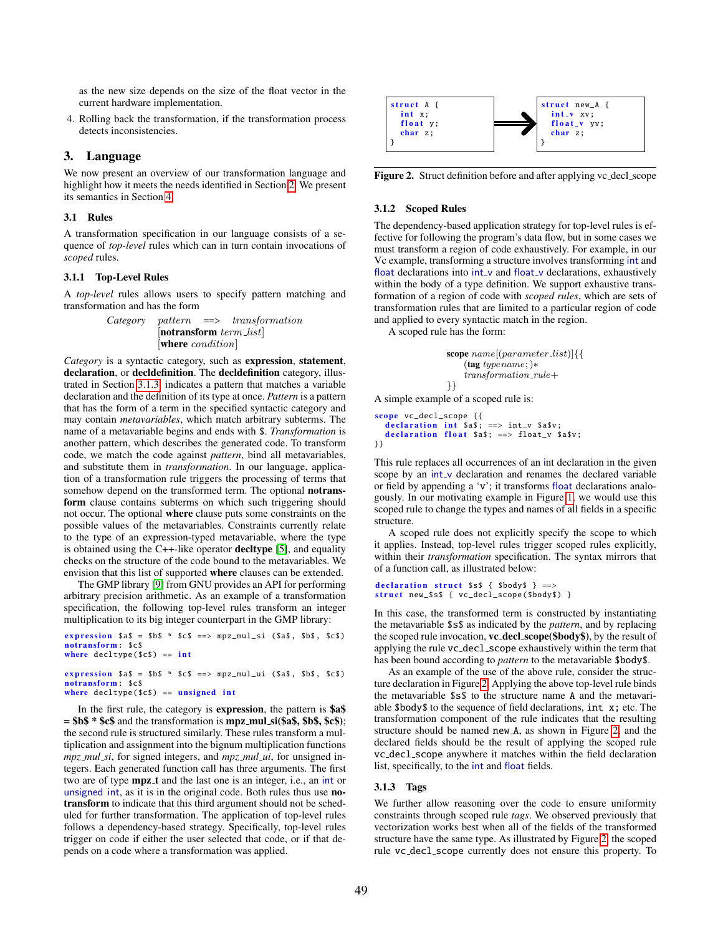as the new size depends on the size of the float vector in the current hardware implementation.

4. Rolling back the transformation, if the transformation process detects inconsistencies.

# <span id="page-2-0"></span>3. Language

We now present an overview of our transformation language and highlight how it meets the needs identified in Section [2.](#page-1-0) We present its semantics in Section [4.](#page-3-0)

#### 3.1 Rules

A transformation specification in our language consists of a sequence of *top-level* rules which can in turn contain invocations of *scoped* rules.

#### 3.1.1 Top-Level Rules

A *top-level* rules allows users to specify pattern matching and transformation and has the form

```
Category pattern ==> transformation
          [notransform term\_list][where condition]
```
*Category* is a syntactic category, such as expression, statement, declaration, or decldefinition. The decldefinition category, illustrated in Section [3.1.3,](#page-2-1) indicates a pattern that matches a variable declaration and the definition of its type at once. *Pattern* is a pattern that has the form of a term in the specified syntactic category and may contain *metavariables*, which match arbitrary subterms. The name of a metavariable begins and ends with \$. *Transformation* is another pattern, which describes the generated code. To transform code, we match the code against *pattern*, bind all metavariables, and substitute them in *transformation*. In our language, application of a transformation rule triggers the processing of terms that somehow depend on the transformed term. The optional **notrans**form clause contains subterms on which such triggering should not occur. The optional where clause puts some constraints on the possible values of the metavariables. Constraints currently relate to the type of an expression-typed metavariable, where the type is obtained using the C++-like operator decltype [\[5\]](#page-11-9), and equality checks on the structure of the code bound to the metavariables. We envision that this list of supported where clauses can be extended.

The GMP library [\[9\]](#page-11-10) from GNU provides an API for performing arbitrary precision arithmetic. As an example of a transformation specification, the following top-level rules transform an integer multiplication to its big integer counterpart in the GMP library:

```
expression sas = sbs * scs == > mpz_mul_si (sas, sbs, scs)notransform: $c$
where decletype({sc}) == intexpression sas = sbs * scs == > mpz_mul_ui (sas, sbs, scs)notransform: $c$
where decletype({sc}) == unsigned int
```
In the first rule, the category is expression, the pattern is \$a\$  $= $b$ * $c$ and the transformation is **mpz mul si**(\$a$, \$b$, \$c$);$ the second rule is structured similarly. These rules transform a multiplication and assignment into the bignum multiplication functions *mpz mul si*, for signed integers, and *mpz mul ui*, for unsigned integers. Each generated function call has three arguments. The first two are of type mpz t and the last one is an integer, i.e., an int or unsigned int, as it is in the original code. Both rules thus use notransform to indicate that this third argument should not be scheduled for further transformation. The application of top-level rules follows a dependency-based strategy. Specifically, top-level rules trigger on code if either the user selected that code, or if that depends on a code where a transformation was applied.



<span id="page-2-2"></span>Figure 2. Struct definition before and after applying vc\_decl\_scope

## <span id="page-2-3"></span>3.1.2 Scoped Rules

The dependency-based application strategy for top-level rules is effective for following the program's data flow, but in some cases we must transform a region of code exhaustively. For example, in our Vc example, transforming a structure involves transforming int and float declarations into int v and float v declarations, exhaustively within the body of a type definition. We support exhaustive transformation of a region of code with *scoped rules*, which are sets of transformation rules that are limited to a particular region of code and applied to every syntactic match in the region.

A scoped rule has the form:

```
scope name[(parameter\_list)]{
    (tag typename; )∗
    transformation\_rule+}}
```
A simple example of a scoped rule is:

```
scope vc_decl_scope {{
  declaration int sas; ==> int_v sasv:
  declaration float sa$; ==> float_v $a$v;
}}
```
This rule replaces all occurrences of an int declaration in the given scope by an int v declaration and renames the declared variable or field by appending a 'v'; it transforms float declarations analogously. In our motivating example in Figure [1,](#page-1-1) we would use this scoped rule to change the types and names of all fields in a specific structure.

A scoped rule does not explicitly specify the scope to which it applies. Instead, top-level rules trigger scoped rules explicitly, within their *transformation* specification. The syntax mirrors that of a function call, as illustrated below:

```
declaration struct s_{s} { s_{body} } ==>
struct new_$s$ { vc_decl_scope($body$) }
```
In this case, the transformed term is constructed by instantiating the metavariable \$s\$ as indicated by the *pattern*, and by replacing the scoped rule invocation, vc\_decl\_scope(\$body\$), by the result of applying the rule vc decl scope exhaustively within the term that has been bound according to *pattern* to the metavariable \$body\$.

As an example of the use of the above rule, consider the structure declaration in Figure [2.](#page-2-2) Applying the above top-level rule binds the metavariable \$s\$ to the structure name A and the metavariable \$body\$ to the sequence of field declarations, int x; etc. The transformation component of the rule indicates that the resulting structure should be named new A, as shown in Figure [2,](#page-2-2) and the declared fields should be the result of applying the scoped rule vc decl scope anywhere it matches within the field declaration list, specifically, to the int and float fields.

#### <span id="page-2-1"></span>3.1.3 Tags

We further allow reasoning over the code to ensure uniformity constraints through scoped rule *tags*. We observed previously that vectorization works best when all of the fields of the transformed structure have the same type. As illustrated by Figure [2,](#page-2-2) the scoped rule vc decl scope currently does not ensure this property. To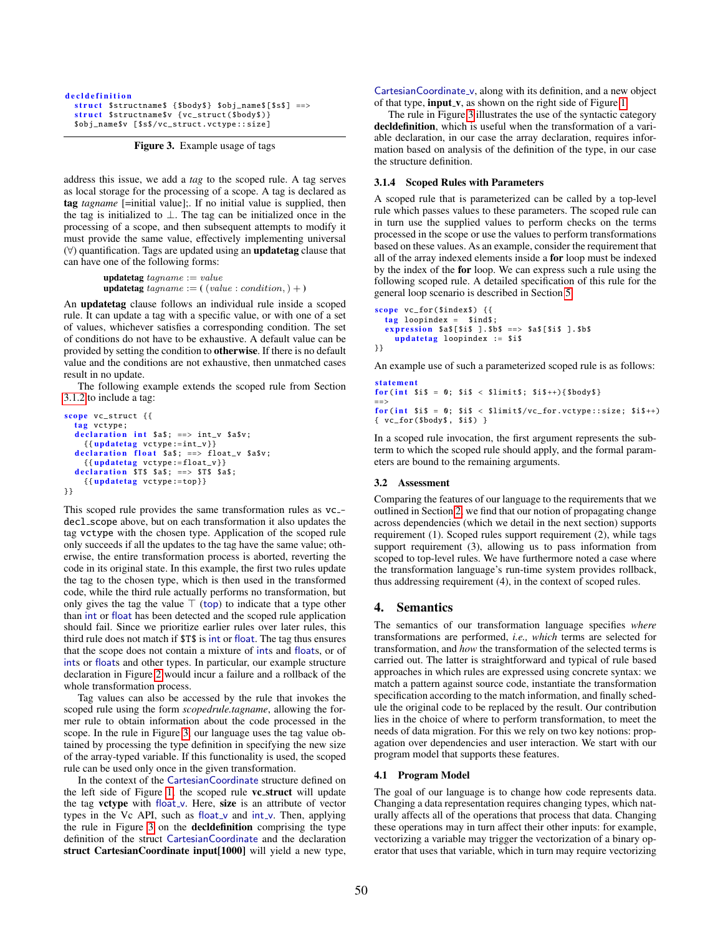```
d e c l d e f i n i t i o n
  struct $structname$ {$body$} $obj_name$[$s$] ==>
  struct $structname$v {vc_struct($body$)}
  $obj_name$v [$s$/ vc_struct .vctype :: size]
```
<span id="page-3-1"></span>Figure 3. Example usage of tags

address this issue, we add a *tag* to the scoped rule. A tag serves as local storage for the processing of a scope. A tag is declared as tag *tagname* [=initial value];. If no initial value is supplied, then the tag is initialized to  $\perp$ . The tag can be initialized once in the processing of a scope, and then subsequent attempts to modify it must provide the same value, effectively implementing universal (∀) quantification. Tags are updated using an updatetag clause that can have one of the following forms:

```
updatetag tagname := valueupdatetag tagname := ((value: condition, ) + )
```
An updatetag clause follows an individual rule inside a scoped rule. It can update a tag with a specific value, or with one of a set of values, whichever satisfies a corresponding condition. The set of conditions do not have to be exhaustive. A default value can be provided by setting the condition to otherwise. If there is no default value and the conditions are not exhaustive, then unmatched cases result in no update.

The following example extends the scoped rule from Section [3.1.2](#page-2-3) to include a tag:

```
scope vc_struct {{
  tag vctype;
  declaration int sas; ==> int_v sasv;
   {{updatetag vctype:=int_v}}<br>declaration float $a$; ==> float_v $a$v;
     { \{ updatetag \ vctype := float_v } \}derlation STS SaS: ==> STS SaS;
     { \{ {updatetag \ vctype:=top} \} }}}
```
This scoped rule provides the same transformation rules as vc<sub>-</sub>decl scope above, but on each transformation it also updates the tag vctype with the chosen type. Application of the scoped rule only succeeds if all the updates to the tag have the same value; otherwise, the entire transformation process is aborted, reverting the code in its original state. In this example, the first two rules update the tag to the chosen type, which is then used in the transformed code, while the third rule actually performs no transformation, but only gives the tag the value  $\top$  (top) to indicate that a type other than int or float has been detected and the scoped rule application should fail. Since we prioritize earlier rules over later rules, this third rule does not match if \$T\$ is int or float. The tag thus ensures that the scope does not contain a mixture of ints and floats, or of ints or floats and other types. In particular, our example structure declaration in Figure [2](#page-2-2) would incur a failure and a rollback of the whole transformation process.

Tag values can also be accessed by the rule that invokes the scoped rule using the form *scopedrule.tagname*, allowing the former rule to obtain information about the code processed in the scope. In the rule in Figure [3,](#page-3-1) our language uses the tag value obtained by processing the type definition in specifying the new size of the array-typed variable. If this functionality is used, the scoped rule can be used only once in the given transformation.

In the context of the CartesianCoordinate structure defined on the left side of Figure [1,](#page-1-1) the scoped rule vc struct will update the tag vctype with float v. Here, size is an attribute of vector types in the Vc API, such as float v and int v. Then, applying the rule in Figure [3](#page-3-1) on the decldefinition comprising the type definition of the struct CartesianCoordinate and the declaration struct CartesianCoordinate input[1000] will yield a new type, CartesianCoordinate\_v, along with its definition, and a new object of that type, **input** v, as shown on the right side of Figure [1.](#page-1-1)

The rule in Figure [3](#page-3-1) illustrates the use of the syntactic category decldefinition, which is useful when the transformation of a variable declaration, in our case the array declaration, requires information based on analysis of the definition of the type, in our case the structure definition.

#### 3.1.4 Scoped Rules with Parameters

A scoped rule that is parameterized can be called by a top-level rule which passes values to these parameters. The scoped rule can in turn use the supplied values to perform checks on the terms processed in the scope or use the values to perform transformations based on these values. As an example, consider the requirement that all of the array indexed elements inside a for loop must be indexed by the index of the for loop. We can express such a rule using the following scoped rule. A detailed specification of this rule for the general loop scenario is described in Section [5.](#page-6-0)

```
scope vc for($index$) {f}tag loopindex = find;
  expression saf[sis].sbs == > saf[sis].sbsupdatetag loopindex := $is}}
```
An example use of such a parameterized scoped rule is as follows:

```
s tatement
for (int sis = 0; sis < Slimit$; sis++){sbody$}
==>
for (int sis = 0; sis < Slimit$/vc_for.vctype::size; sis++)
{ vc_for($body$ , $i$) }
```
In a scoped rule invocation, the first argument represents the subterm to which the scoped rule should apply, and the formal parameters are bound to the remaining arguments.

#### 3.2 Assessment

Comparing the features of our language to the requirements that we outlined in Section [2,](#page-1-0) we find that our notion of propagating change across dependencies (which we detail in the next section) supports requirement (1). Scoped rules support requirement (2), while tags support requirement (3), allowing us to pass information from scoped to top-level rules. We have furthermore noted a case where the transformation language's run-time system provides rollback, thus addressing requirement (4), in the context of scoped rules.

## <span id="page-3-0"></span>4. Semantics

The semantics of our transformation language specifies *where* transformations are performed, *i.e., which* terms are selected for transformation, and *how* the transformation of the selected terms is carried out. The latter is straightforward and typical of rule based approaches in which rules are expressed using concrete syntax: we match a pattern against source code, instantiate the transformation specification according to the match information, and finally schedule the original code to be replaced by the result. Our contribution lies in the choice of where to perform transformation, to meet the needs of data migration. For this we rely on two key notions: propagation over dependencies and user interaction. We start with our program model that supports these features.

#### <span id="page-3-2"></span>4.1 Program Model

The goal of our language is to change how code represents data. Changing a data representation requires changing types, which naturally affects all of the operations that process that data. Changing these operations may in turn affect their other inputs: for example, vectorizing a variable may trigger the vectorization of a binary operator that uses that variable, which in turn may require vectorizing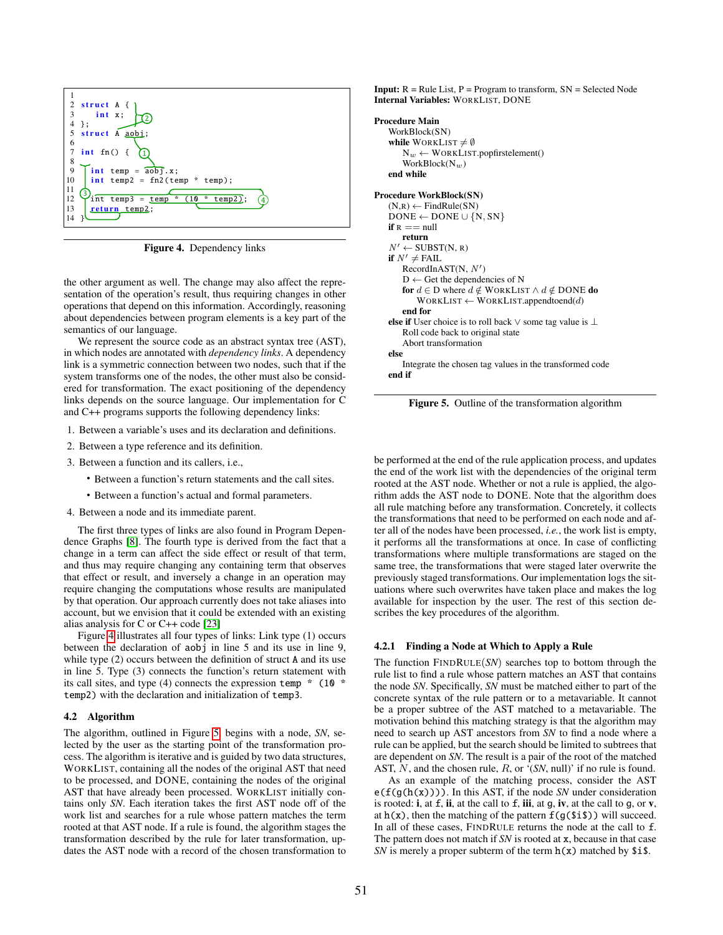

<span id="page-4-0"></span>Figure 4. Dependency links

the other argument as well. The change may also affect the representation of the operation's result, thus requiring changes in other operations that depend on this information. Accordingly, reasoning about dependencies between program elements is a key part of the semantics of our language.

We represent the source code as an abstract syntax tree (AST), in which nodes are annotated with *dependency links*. A dependency link is a symmetric connection between two nodes, such that if the system transforms one of the nodes, the other must also be considered for transformation. The exact positioning of the dependency links depends on the source language. Our implementation for C and C++ programs supports the following dependency links:

- 1. Between a variable's uses and its declaration and definitions.
- 2. Between a type reference and its definition.
- 3. Between a function and its callers, i.e.,
	- Between a function's return statements and the call sites.
	- Between a function's actual and formal parameters.
- 4. Between a node and its immediate parent.

The first three types of links are also found in Program Dependence Graphs [\[8\]](#page-11-11). The fourth type is derived from the fact that a change in a term can affect the side effect or result of that term, and thus may require changing any containing term that observes that effect or result, and inversely a change in an operation may require changing the computations whose results are manipulated by that operation. Our approach currently does not take aliases into account, but we envision that it could be extended with an existing alias analysis for C or C++ code [\[23\]](#page-11-12)

Figure [4](#page-4-0) illustrates all four types of links: Link type (1) occurs between the declaration of aobj in line 5 and its use in line 9, while type (2) occurs between the definition of struct A and its use in line 5. Type (3) connects the function's return statement with its call sites, and type (4) connects the expression temp  $*$  (10  $*$ temp2) with the declaration and initialization of temp3.

#### 4.2 Algorithm

The algorithm, outlined in Figure [5,](#page-4-1) begins with a node, *SN*, selected by the user as the starting point of the transformation process. The algorithm is iterative and is guided by two data structures, WORKLIST, containing all the nodes of the original AST that need to be processed, and DONE, containing the nodes of the original AST that have already been processed. WORKLIST initially contains only *SN*. Each iteration takes the first AST node off of the work list and searches for a rule whose pattern matches the term rooted at that AST node. If a rule is found, the algorithm stages the transformation described by the rule for later transformation, updates the AST node with a record of the chosen transformation to **Input:**  $R = Rule$  List,  $P = Program$  to transform,  $SN = Selected$  Node Internal Variables: WORKLIST, DONE

#### Procedure Main

```
WorkBlock(SN)
    while WORKLIST \neq \emptysetN_w \leftarrow \text{WorkLIST.popfirstelement}()WorkBlock(N_w)
    end while
Procedure WorkBlock(SN)
    (N,R) \leftarrow FindRule(SN)\text{DONE} \leftarrow \text{DONE} \cup \{N, SN\}if R == nullreturn
    N' \leftarrow \text{SUBST}(\text{N, R})if N' \neq FAIL
         RecordInAST(N, N')D \leftarrow Get the dependencies of N
        for d \in \mathcal{D} where d \notin \mathsf{W} or k List \wedge d \notin \mathsf{DONE} do
             WORKLIST ← WORKLIST.appendtoend(d)end for
    else if User choice is to roll back ∨ some tag value is ⊥
        Roll code back to original state
        Abort transformation
    else
        Integrate the chosen tag values in the transformed code
    end if
```
<span id="page-4-1"></span>Figure 5. Outline of the transformation algorithm

be performed at the end of the rule application process, and updates the end of the work list with the dependencies of the original term rooted at the AST node. Whether or not a rule is applied, the algorithm adds the AST node to DONE. Note that the algorithm does all rule matching before any transformation. Concretely, it collects the transformations that need to be performed on each node and after all of the nodes have been processed, *i.e.*, the work list is empty, it performs all the transformations at once. In case of conflicting transformations where multiple transformations are staged on the same tree, the transformations that were staged later overwrite the previously staged transformations. Our implementation logs the situations where such overwrites have taken place and makes the log available for inspection by the user. The rest of this section describes the key procedures of the algorithm.

#### <span id="page-4-2"></span>4.2.1 Finding a Node at Which to Apply a Rule

The function FINDRULE(*SN*) searches top to bottom through the rule list to find a rule whose pattern matches an AST that contains the node *SN*. Specifically, *SN* must be matched either to part of the concrete syntax of the rule pattern or to a metavariable. It cannot be a proper subtree of the AST matched to a metavariable. The motivation behind this matching strategy is that the algorithm may need to search up AST ancestors from *SN* to find a node where a rule can be applied, but the search should be limited to subtrees that are dependent on *SN*. The result is a pair of the root of the matched AST, N, and the chosen rule, R, or '(*SN*, null)' if no rule is found.

As an example of the matching process, consider the AST e(f(g(h(x)))). In this AST, if the node *SN* under consideration is rooted: **i**, at  $f$ , **ii**, at the call to  $f$ , **iii**, at  $g$ , **iv**, at the call to  $g$ , or  $v$ , at  $h(x)$ , then the matching of the pattern  $f(g(\text{Si}\text{$}))$  will succeed. In all of these cases, FINDRULE returns the node at the call to f. The pattern does not match if *SN* is rooted at x, because in that case *SN* is merely a proper subterm of the term  $h(x)$  matched by \$1\$.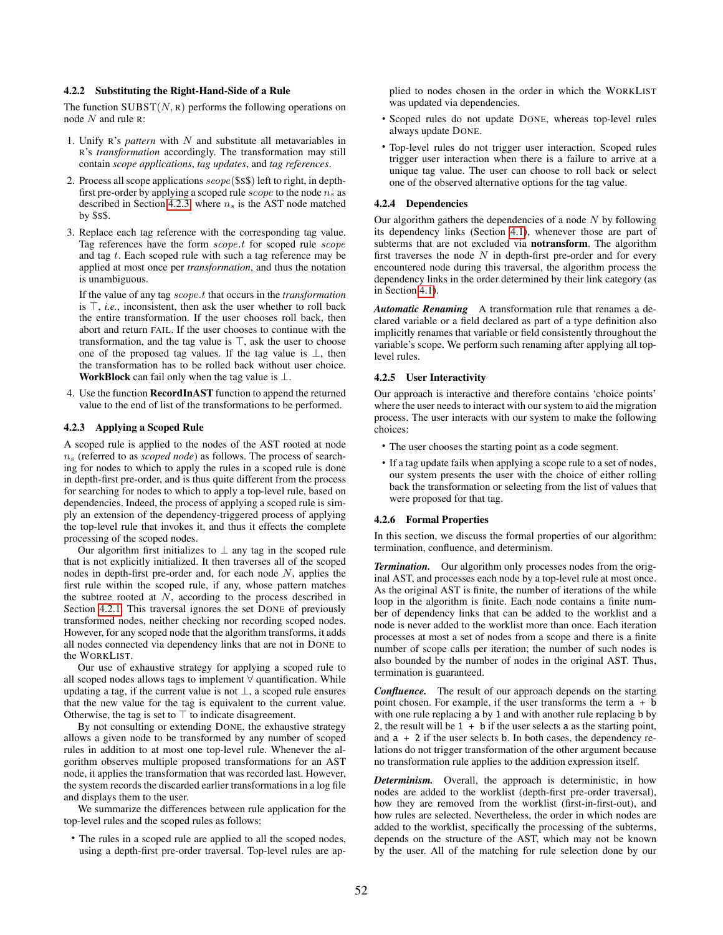# 4.2.2 Substituting the Right-Hand-Side of a Rule

The function  $SUBST(N, R)$  performs the following operations on node N and rule R:

- 1. Unify R's *pattern* with N and substitute all metavariables in R's *transformation* accordingly. The transformation may still contain *scope applications*, *tag updates*, and *tag references*.
- 2. Process all scope applications  $scope$  ( $$s\$ ) left to right, in depthfirst pre-order by applying a scoped rule  $scope$  to the node  $n<sub>s</sub>$  as described in Section [4.2.3,](#page-5-0) where  $n<sub>s</sub>$  is the AST node matched by \$S\$.
- 3. Replace each tag reference with the corresponding tag value. Tag references have the form scope.t for scoped rule scope and tag t. Each scoped rule with such a tag reference may be applied at most once per *transformation*, and thus the notation is unambiguous.

If the value of any tag scope.t that occurs in the *transformation* is  $\top$ , *i.e.*, inconsistent, then ask the user whether to roll back the entire transformation. If the user chooses roll back, then abort and return FAIL. If the user chooses to continue with the transformation, and the tag value is  $\top$ , ask the user to choose one of the proposed tag values. If the tag value is ⊥, then the transformation has to be rolled back without user choice. WorkBlock can fail only when the tag value is  $\perp$ .

4. Use the function RecordInAST function to append the returned value to the end of list of the transformations to be performed.

## <span id="page-5-0"></span>4.2.3 Applying a Scoped Rule

A scoped rule is applied to the nodes of the AST rooted at node  $n<sub>s</sub>$  (referred to as *scoped node*) as follows. The process of searching for nodes to which to apply the rules in a scoped rule is done in depth-first pre-order, and is thus quite different from the process for searching for nodes to which to apply a top-level rule, based on dependencies. Indeed, the process of applying a scoped rule is simply an extension of the dependency-triggered process of applying the top-level rule that invokes it, and thus it effects the complete processing of the scoped nodes.

Our algorithm first initializes to  $\perp$  any tag in the scoped rule that is not explicitly initialized. It then traverses all of the scoped nodes in depth-first pre-order and, for each node N, applies the first rule within the scoped rule, if any, whose pattern matches the subtree rooted at  $N$ , according to the process described in Section [4.2.1.](#page-4-2) This traversal ignores the set DONE of previously transformed nodes, neither checking nor recording scoped nodes. However, for any scoped node that the algorithm transforms, it adds all nodes connected via dependency links that are not in DONE to the WORKLIST.

Our use of exhaustive strategy for applying a scoped rule to all scoped nodes allows tags to implement ∀ quantification. While updating a tag, if the current value is not  $\perp$ , a scoped rule ensures that the new value for the tag is equivalent to the current value. Otherwise, the tag is set to  $\top$  to indicate disagreement.

By not consulting or extending DONE, the exhaustive strategy allows a given node to be transformed by any number of scoped rules in addition to at most one top-level rule. Whenever the algorithm observes multiple proposed transformations for an AST node, it applies the transformation that was recorded last. However, the system records the discarded earlier transformations in a log file and displays them to the user.

We summarize the differences between rule application for the top-level rules and the scoped rules as follows:

• The rules in a scoped rule are applied to all the scoped nodes, using a depth-first pre-order traversal. Top-level rules are applied to nodes chosen in the order in which the WORKLIST was updated via dependencies.

- Scoped rules do not update DONE, whereas top-level rules always update DONE.
- Top-level rules do not trigger user interaction. Scoped rules trigger user interaction when there is a failure to arrive at a unique tag value. The user can choose to roll back or select one of the observed alternative options for the tag value.

# 4.2.4 Dependencies

Our algorithm gathers the dependencies of a node  $N$  by following its dependency links (Section [4.1\)](#page-3-2), whenever those are part of subterms that are not excluded via notransform. The algorithm first traverses the node  $N$  in depth-first pre-order and for every encountered node during this traversal, the algorithm process the dependency links in the order determined by their link category (as in Section [4.1\)](#page-3-2).

<span id="page-5-1"></span>*Automatic Renaming* A transformation rule that renames a declared variable or a field declared as part of a type definition also implicitly renames that variable or field consistently throughout the variable's scope. We perform such renaming after applying all toplevel rules.

### 4.2.5 User Interactivity

Our approach is interactive and therefore contains 'choice points' where the user needs to interact with our system to aid the migration process. The user interacts with our system to make the following choices:

- The user chooses the starting point as a code segment.
- If a tag update fails when applying a scope rule to a set of nodes, our system presents the user with the choice of either rolling back the transformation or selecting from the list of values that were proposed for that tag.

#### 4.2.6 Formal Properties

In this section, we discuss the formal properties of our algorithm: termination, confluence, and determinism.

*Termination.* Our algorithm only processes nodes from the original AST, and processes each node by a top-level rule at most once. As the original AST is finite, the number of iterations of the while loop in the algorithm is finite. Each node contains a finite number of dependency links that can be added to the worklist and a node is never added to the worklist more than once. Each iteration processes at most a set of nodes from a scope and there is a finite number of scope calls per iteration; the number of such nodes is also bounded by the number of nodes in the original AST. Thus, termination is guaranteed.

*Confluence.* The result of our approach depends on the starting point chosen. For example, if the user transforms the term a + b with one rule replacing a by 1 and with another rule replacing b by 2, the result will be  $1 + b$  if the user selects a as the starting point, and  $a + 2$  if the user selects b. In both cases, the dependency relations do not trigger transformation of the other argument because no transformation rule applies to the addition expression itself.

*Determinism.* Overall, the approach is deterministic, in how nodes are added to the worklist (depth-first pre-order traversal), how they are removed from the worklist (first-in-first-out), and how rules are selected. Nevertheless, the order in which nodes are added to the worklist, specifically the processing of the subterms, depends on the structure of the AST, which may not be known by the user. All of the matching for rule selection done by our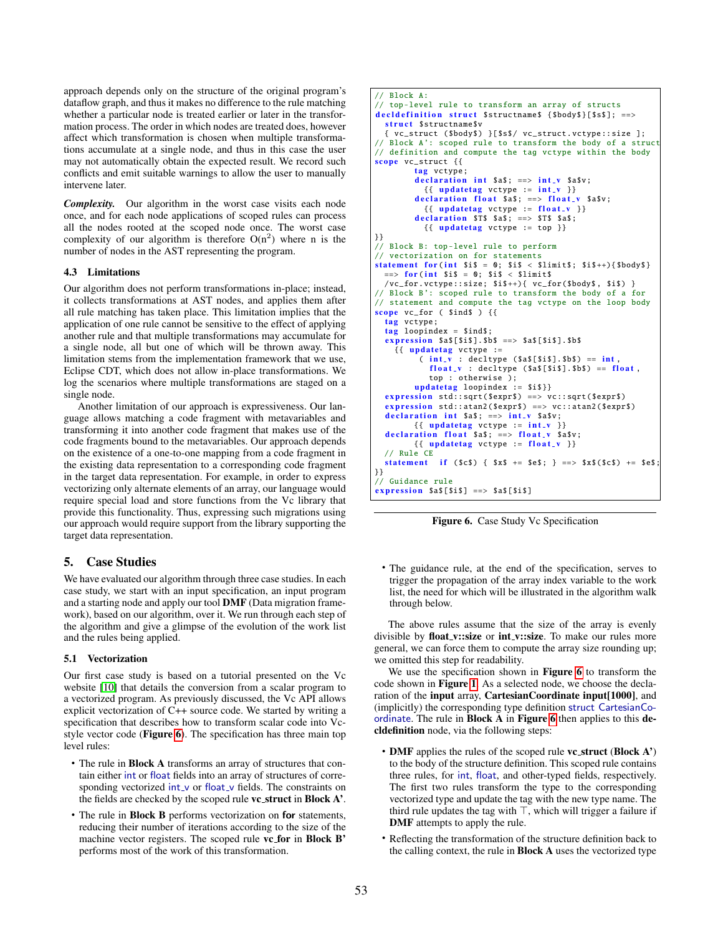approach depends only on the structure of the original program's dataflow graph, and thus it makes no difference to the rule matching whether a particular node is treated earlier or later in the transformation process. The order in which nodes are treated does, however affect which transformation is chosen when multiple transformations accumulate at a single node, and thus in this case the user may not automatically obtain the expected result. We record such conflicts and emit suitable warnings to allow the user to manually intervene later.

*Complexity.* Our algorithm in the worst case visits each node once, and for each node applications of scoped rules can process all the nodes rooted at the scoped node once. The worst case complexity of our algorithm is therefore  $O(n^2)$  where n is the number of nodes in the AST representing the program.

#### 4.3 Limitations

Our algorithm does not perform transformations in-place; instead, it collects transformations at AST nodes, and applies them after all rule matching has taken place. This limitation implies that the application of one rule cannot be sensitive to the effect of applying another rule and that multiple transformations may accumulate for a single node, all but one of which will be thrown away. This limitation stems from the implementation framework that we use, Eclipse CDT, which does not allow in-place transformations. We log the scenarios where multiple transformations are staged on a single node.

Another limitation of our approach is expressiveness. Our language allows matching a code fragment with metavariables and transforming it into another code fragment that makes use of the code fragments bound to the metavariables. Our approach depends on the existence of a one-to-one mapping from a code fragment in the existing data representation to a corresponding code fragment in the target data representation. For example, in order to express vectorizing only alternate elements of an array, our language would require special load and store functions from the Vc library that provide this functionality. Thus, expressing such migrations using our approach would require support from the library supporting the target data representation.

# <span id="page-6-0"></span>5. Case Studies

We have evaluated our algorithm through three case studies. In each case study, we start with an input specification, an input program and a starting node and apply our tool DMF (Data migration framework), based on our algorithm, over it. We run through each step of the algorithm and give a glimpse of the evolution of the work list and the rules being applied.

## 5.1 Vectorization

Our first case study is based on a tutorial presented on the Vc website [\[10\]](#page-11-8) that details the conversion from a scalar program to a vectorized program. As previously discussed, the Vc API allows explicit vectorization of C++ source code. We started by writing a specification that describes how to transform scalar code into Vcstyle vector code (Figure [6](#page-6-1)). The specification has three main top level rules:

- The rule in Block A transforms an array of structures that contain either int or float fields into an array of structures of corresponding vectorized int v or float v fields. The constraints on the fields are checked by the scoped rule vc struct in Block A'.
- The rule in Block B performs vectorization on for statements, reducing their number of iterations according to the size of the machine vector registers. The scoped rule vc for in Block B' performs most of the work of this transformation.

```
// Block A:
// top-level rule to transform an array of structs
decldefinition struct $structname$ {$body$}[$s$]; ==>
  structname$v
  { vc_struct ($body$) }[$s$/ vc_struct .vctype :: size ];
// Block A': scoped rule to transform the body of a struc
// definition and compute the tag vctype within the body
scope vc_struct {{
          tag vctype;
          declaration int sas; ==> int_v sasv;
            { \{ \text{ updatetag} \space vctype := int_v \} }declaration float sa$; ==> float_v $a$v;
            { \{ \text{ updatetag} \text{ vctype} \text{ := float_v } \} }declaration ST$ s as; == ST$ s as;
            { \{ \text{ updatetag} \text{ vctype} := \text{ top } \} }}}
// Block B: top-level rule to perform
// vectorization on for statements
statement for (int sis = 0; sis < Slimits; sis++){sbots}
  \Rightarrow for (int $i$ = 0; $i$ < $limit$
  /vc_for.vctype :: size; $i$++){ vc_for($body$ , $i$) }
// Block B': scoped rule to transform the body of a for
// statement and compute the tag vctype on the loop body
scope vc_for (sim$ind$ ) {{
  tag vctype:
  tag loopindex = sinds:
  expression saf[sif].sbs == > saf[sif].sb{ \{ } updatetag vctype :=
           ( int_v : decltype ($a$[$i$].$b$) == int,<br>float_v : decltype ($a$[$i$].$b$) == float,
             top : otherwise );
   updatetag loopindex := $i$}}<br>expression std::sqrt($expr$) ==> vc::sqrt($expr$)
   expression std::atan2($expr$) ==> vc::atan2($expr$)<br>declaration int $a$; ==> int_v $a$v;
         { \{ \quad \text{updatetag} \quad \text{vctype} \ := \ \text{int}_V \} }declaration float s_{a} = -\ float v s_{a};
         { \{ \quad \text{updatetag} \quad \text{vctype} \ := \ \text{float\_v} \ \ }// Rule CE
  statement if ($c$) { $x$ += $e$; } = z = $x$ (§c$) += $e$}}
// Guidance rule
expression saf[sis] == > saf[sis]
```
<span id="page-6-1"></span>Figure 6. Case Study Vc Specification

• The guidance rule, at the end of the specification, serves to trigger the propagation of the array index variable to the work list, the need for which will be illustrated in the algorithm walk through below.

The above rules assume that the size of the array is evenly divisible by float\_v::size or int\_v::size. To make our rules more general, we can force them to compute the array size rounding up; we omitted this step for readability.

We use the specification shown in Figure [6](#page-6-1) to transform the code shown in Figure [1](#page-1-1). As a selected node, we choose the declaration of the input array, CartesianCoordinate input[1000], and (implicitly) the corresponding type definition struct CartesianCo-ordinate. The rule in Block A in Figure [6](#page-6-1) then applies to this decldefinition node, via the following steps:

- DMF applies the rules of the scoped rule vc\_struct (Block A') to the body of the structure definition. This scoped rule contains three rules, for int, float, and other-typed fields, respectively. The first two rules transform the type to the corresponding vectorized type and update the tag with the new type name. The third rule updates the tag with  $\top$ , which will trigger a failure if DMF attempts to apply the rule.
- Reflecting the transformation of the structure definition back to the calling context, the rule in Block A uses the vectorized type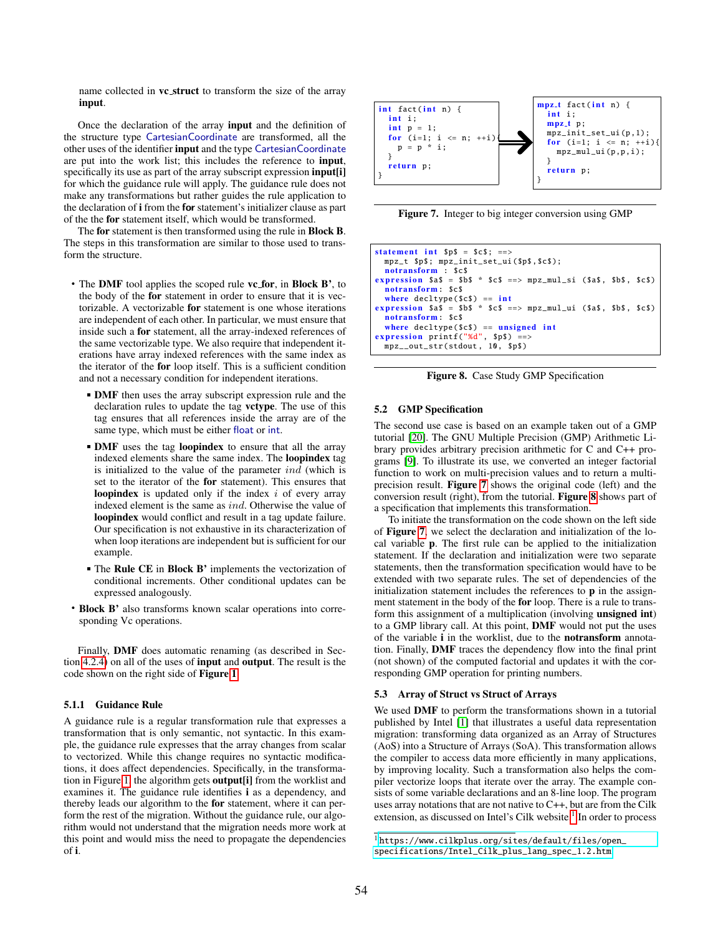name collected in vc\_struct to transform the size of the array input.

Once the declaration of the array input and the definition of the structure type CartesianCoordinate are transformed, all the other uses of the identifier input and the type CartesianCoordinate are put into the work list; this includes the reference to input, specifically its use as part of the array subscript expression **input**[i] for which the guidance rule will apply. The guidance rule does not make any transformations but rather guides the rule application to the declaration of i from the for statement's initializer clause as part of the the for statement itself, which would be transformed.

The for statement is then transformed using the rule in **Block B**. The steps in this transformation are similar to those used to transform the structure.

- The DMF tool applies the scoped rule vc for, in Block B', to the body of the for statement in order to ensure that it is vectorizable. A vectorizable for statement is one whose iterations are independent of each other. In particular, we must ensure that inside such a for statement, all the array-indexed references of the same vectorizable type. We also require that independent iterations have array indexed references with the same index as the iterator of the for loop itself. This is a sufficient condition and not a necessary condition for independent iterations.
	- DMF then uses the array subscript expression rule and the declaration rules to update the tag vctype. The use of this tag ensures that all references inside the array are of the same type, which must be either float or int.
	- **DMF** uses the tag **loopindex** to ensure that all the array indexed elements share the same index. The loopindex tag is initialized to the value of the parameter ind (which is set to the iterator of the for statement). This ensures that loopindex is updated only if the index  $i$  of every array indexed element is the same as ind. Otherwise the value of loopindex would conflict and result in a tag update failure. Our specification is not exhaustive in its characterization of when loop iterations are independent but is sufficient for our example.
	- The Rule CE in Block B' implements the vectorization of conditional increments. Other conditional updates can be expressed analogously.
- Block B' also transforms known scalar operations into corresponding Vc operations.

Finally, DMF does automatic renaming (as described in Section [4.2.4\)](#page-5-1) on all of the uses of input and output. The result is the code shown on the right side of Figure [1](#page-1-1).

#### 5.1.1 Guidance Rule

A guidance rule is a regular transformation rule that expresses a transformation that is only semantic, not syntactic. In this example, the guidance rule expresses that the array changes from scalar to vectorized. While this change requires no syntactic modifications, it does affect dependencies. Specifically, in the transformation in Figure [1,](#page-1-1) the algorithm gets output[i] from the worklist and examines it. The guidance rule identifies i as a dependency, and thereby leads our algorithm to the for statement, where it can perform the rest of the migration. Without the guidance rule, our algorithm would not understand that the migration needs more work at this point and would miss the need to propagate the dependencies of i.



<span id="page-7-0"></span>Figure 7. Integer to big integer conversion using GMP

| statement int $sp$ = sc$ : ==>$<br>mpz_t \$p\$; mpz_init_set_ui(\$p\$,\$c\$);                                                                                                                                                                                                                                                  |  |  |  |  |
|--------------------------------------------------------------------------------------------------------------------------------------------------------------------------------------------------------------------------------------------------------------------------------------------------------------------------------|--|--|--|--|
| notransform: Scs                                                                                                                                                                                                                                                                                                               |  |  |  |  |
| expression $a = b$ $\frac{1}{2}$ $a = b$ $\frac{1}{2}$ $a = -\frac{1}{2}$ $a = -\frac{1}{2}$ $a = -\frac{1}{2}$ $a = -\frac{1}{2}$ $a = -\frac{1}{2}$ $a = -\frac{1}{2}$ $a = -\frac{1}{2}$ $a = -\frac{1}{2}$ $a = -\frac{1}{2}$ $a = -\frac{1}{2}$ $a = -\frac{1}{2}$ $a = -\frac{1}{2}$ $a = -\frac{1}{2}$ $a = -\frac{1}{$ |  |  |  |  |
| notransform: ScS                                                                                                                                                                                                                                                                                                               |  |  |  |  |
| where $decletype(Sc$) == int$                                                                                                                                                                                                                                                                                                  |  |  |  |  |
| expression $a\$ = \b\$ * $c\$ => mpz_mul_i (a\, $b\$ , $c\$                                                                                                                                                                                                                                                                    |  |  |  |  |
| notransform: ScS                                                                                                                                                                                                                                                                                                               |  |  |  |  |
| where $decletype(Sc$) == unsigned int$                                                                                                                                                                                                                                                                                         |  |  |  |  |
| expression printf("%d", $sp$$ ) ==>                                                                                                                                                                                                                                                                                            |  |  |  |  |
| $mpz$ out $str(stat, 10, sp$)$                                                                                                                                                                                                                                                                                                 |  |  |  |  |

<span id="page-7-1"></span>Figure 8. Case Study GMP Specification

#### 5.2 GMP Specification

The second use case is based on an example taken out of a GMP tutorial [\[20\]](#page-11-13). The GNU Multiple Precision (GMP) Arithmetic Library provides arbitrary precision arithmetic for C and C++ programs [\[9\]](#page-11-10). To illustrate its use, we converted an integer factorial function to work on multi-precision values and to return a multiprecision result. Figure [7](#page-7-0) shows the original code (left) and the conversion result (right), from the tutorial. Figure [8](#page-7-1) shows part of a specification that implements this transformation.

To initiate the transformation on the code shown on the left side of Figure [7](#page-7-0), we select the declaration and initialization of the local variable p. The first rule can be applied to the initialization statement. If the declaration and initialization were two separate statements, then the transformation specification would have to be extended with two separate rules. The set of dependencies of the initialization statement includes the references to **p** in the assignment statement in the body of the for loop. There is a rule to transform this assignment of a multiplication (involving unsigned int) to a GMP library call. At this point, DMF would not put the uses of the variable i in the worklist, due to the notransform annotation. Finally, DMF traces the dependency flow into the final print (not shown) of the computed factorial and updates it with the corresponding GMP operation for printing numbers.

#### 5.3 Array of Struct vs Struct of Arrays

We used DMF to perform the transformations shown in a tutorial published by Intel [\[1\]](#page-11-14) that illustrates a useful data representation migration: transforming data organized as an Array of Structures (AoS) into a Structure of Arrays (SoA). This transformation allows the compiler to access data more efficiently in many applications, by improving locality. Such a transformation also helps the compiler vectorize loops that iterate over the array. The example consists of some variable declarations and an 8-line loop. The program uses array notations that are not native to C++, but are from the Cilk extension, as discussed on Intel's Cilk website.<sup>[1](#page-7-2)</sup> In order to process

<span id="page-7-2"></span><sup>1</sup> [https://www.cilkplus.org/sites/default/files/open\\_](https://www.cilkplus.org/sites/default/files/open_specifications/Intel_Cilk_plus_lang_spec_1.2.htm) [specifications/Intel\\_Cilk\\_plus\\_lang\\_spec\\_1.2.htm](https://www.cilkplus.org/sites/default/files/open_specifications/Intel_Cilk_plus_lang_spec_1.2.htm)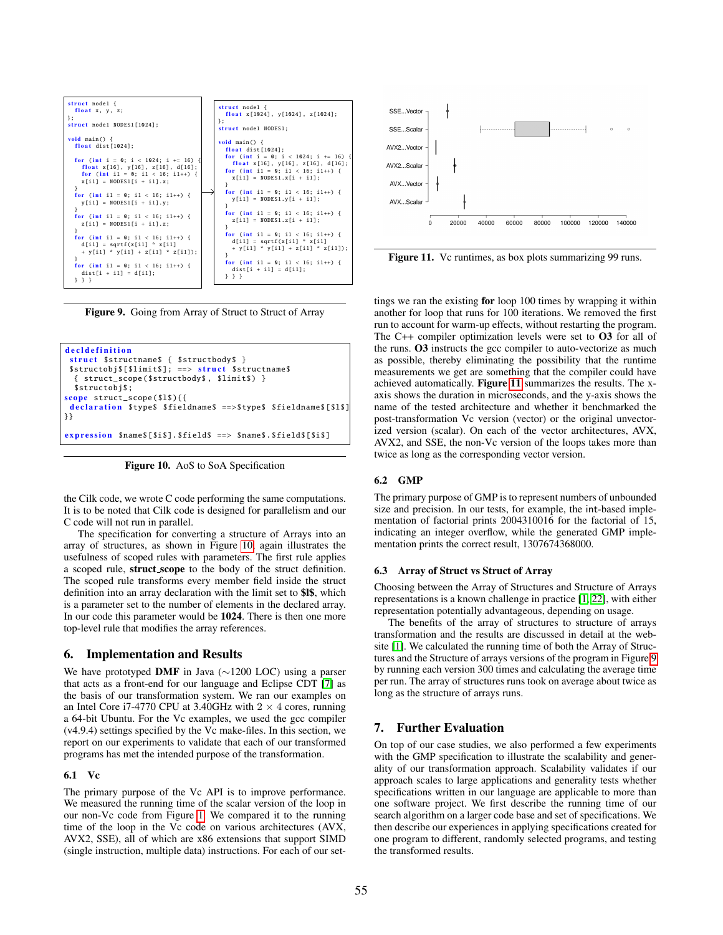

<span id="page-8-4"></span>Figure 9. Going from Array of Struct to Struct of Array

```
d e c l d e f i n i t i o n
 struct $structname$ { $structbody$ }
 $structobj$[$limit$]; ==> struct3${ struct_scope ($structbody$ , $limit$) }
 $structobj$;
scope struct_scope($1$){{
 declaration $type$ $fieldname$ ==>$type$ $fieldname$[$l$]
}}
expression smes[$i$].$field$ ==> sname$.$field$[$i$]
```
<span id="page-8-2"></span>Figure 10. AoS to SoA Specification

the Cilk code, we wrote C code performing the same computations. It is to be noted that Cilk code is designed for parallelism and our C code will not run in parallel.

The specification for converting a structure of Arrays into an array of structures, as shown in Figure [10,](#page-8-2) again illustrates the usefulness of scoped rules with parameters. The first rule applies a scoped rule, struct scope to the body of the struct definition. The scoped rule transforms every member field inside the struct definition into an array declaration with the limit set to \$l\$, which is a parameter set to the number of elements in the declared array. In our code this parameter would be 1024. There is then one more top-level rule that modifies the array references.

# <span id="page-8-0"></span>6. Implementation and Results

We have prototyped DMF in Java (∼1200 LOC) using a parser that acts as a front-end for our language and Eclipse CDT [\[7\]](#page-11-6) as the basis of our transformation system. We ran our examples on an Intel Core i7-4770 CPU at 3.40GHz with  $2 \times 4$  cores, running a 64-bit Ubuntu. For the Vc examples, we used the gcc compiler (v4.9.4) settings specified by the Vc make-files. In this section, we report on our experiments to validate that each of our transformed programs has met the intended purpose of the transformation.

#### 6.1 Vc

The primary purpose of the Vc API is to improve performance. We measured the running time of the scalar version of the loop in our non-Vc code from Figure [1.](#page-1-1) We compared it to the running time of the loop in the Vc code on various architectures (AVX, AVX2, SSE), all of which are x86 extensions that support SIMD (single instruction, multiple data) instructions. For each of our set-



<span id="page-8-3"></span>Figure 11. Vc runtimes, as box plots summarizing 99 runs.

tings we ran the existing for loop 100 times by wrapping it within another for loop that runs for 100 iterations. We removed the first run to account for warm-up effects, without restarting the program. The C++ compiler optimization levels were set to O3 for all of the runs. O3 instructs the gcc compiler to auto-vectorize as much as possible, thereby eliminating the possibility that the runtime measurements we get are something that the compiler could have achieved automatically. Figure [11](#page-8-3) summarizes the results. The xaxis shows the duration in microseconds, and the y-axis shows the name of the tested architecture and whether it benchmarked the post-transformation Vc version (vector) or the original unvectorized version (scalar). On each of the vector architectures, AVX, AVX2, and SSE, the non-Vc version of the loops takes more than twice as long as the corresponding vector version.

# 6.2 GMP

The primary purpose of GMP is to represent numbers of unbounded size and precision. In our tests, for example, the int-based implementation of factorial prints 2004310016 for the factorial of 15, indicating an integer overflow, while the generated GMP implementation prints the correct result, 1307674368000.

#### 6.3 Array of Struct vs Struct of Array

Choosing between the Array of Structures and Structure of Arrays representations is a known challenge in practice [\[1,](#page-11-14) [22\]](#page-11-15), with either representation potentially advantageous, depending on usage.

The benefits of the array of structures to structure of arrays transformation and the results are discussed in detail at the website [\[1\]](#page-11-14). We calculated the running time of both the Array of Structures and the Structure of arrays versions of the program in Figure [9](#page-8-4) by running each version 300 times and calculating the average time per run. The array of structures runs took on average about twice as long as the structure of arrays runs.

# <span id="page-8-1"></span>7. Further Evaluation

On top of our case studies, we also performed a few experiments with the GMP specification to illustrate the scalability and generality of our transformation approach. Scalability validates if our approach scales to large applications and generality tests whether specifications written in our language are applicable to more than one software project. We first describe the running time of our search algorithm on a larger code base and set of specifications. We then describe our experiences in applying specifications created for one program to different, randomly selected programs, and testing the transformed results.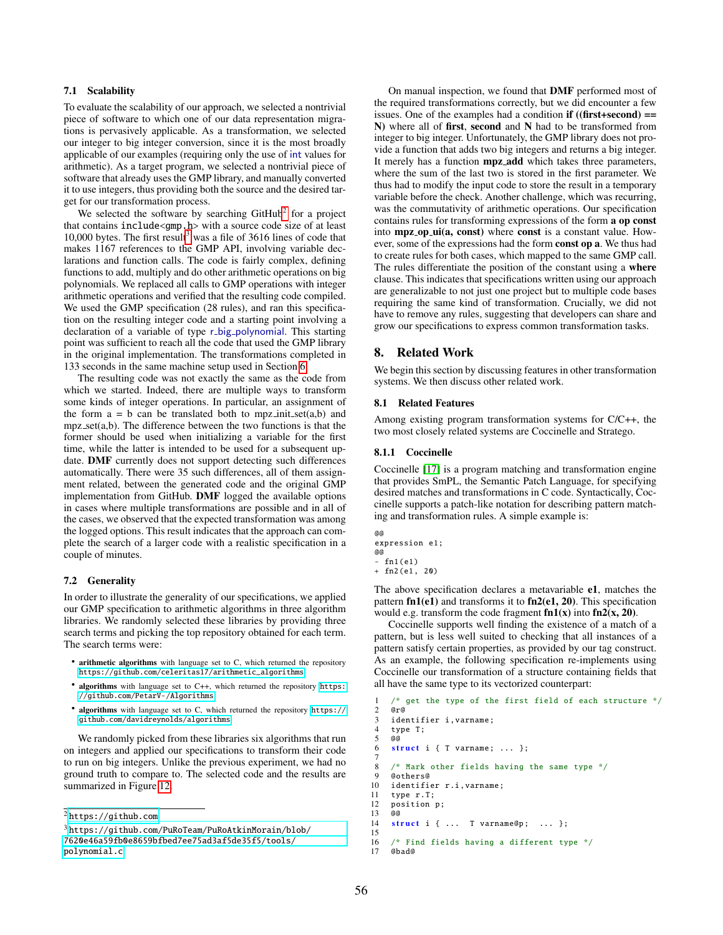## 7.1 Scalability

To evaluate the scalability of our approach, we selected a nontrivial piece of software to which one of our data representation migrations is pervasively applicable. As a transformation, we selected our integer to big integer conversion, since it is the most broadly applicable of our examples (requiring only the use of int values for arithmetic). As a target program, we selected a nontrivial piece of software that already uses the GMP library, and manually converted it to use integers, thus providing both the source and the desired target for our transformation process.

We selected the software by searching  $G$ itHub<sup>[2](#page-9-1)</sup> for a project that contains include<gmp.h> with a source code size of at least 10,000 bytes. The first result<sup>[3](#page-9-2)</sup> was a file of  $3616$  lines of code that makes 1167 references to the GMP API, involving variable declarations and function calls. The code is fairly complex, defining functions to add, multiply and do other arithmetic operations on big polynomials. We replaced all calls to GMP operations with integer arithmetic operations and verified that the resulting code compiled. We used the GMP specification (28 rules), and ran this specification on the resulting integer code and a starting point involving a declaration of a variable of type r\_big\_polynomial. This starting point was sufficient to reach all the code that used the GMP library in the original implementation. The transformations completed in 133 seconds in the same machine setup used in Section [6.](#page-8-0)

The resulting code was not exactly the same as the code from which we started. Indeed, there are multiple ways to transform some kinds of integer operations. In particular, an assignment of the form  $a = b$  can be translated both to mpz\_init\_set(a,b) and  $mpz_set(a,b)$ . The difference between the two functions is that the former should be used when initializing a variable for the first time, while the latter is intended to be used for a subsequent update. DMF currently does not support detecting such differences automatically. There were 35 such differences, all of them assignment related, between the generated code and the original GMP implementation from GitHub. DMF logged the available options in cases where multiple transformations are possible and in all of the cases, we observed that the expected transformation was among the logged options. This result indicates that the approach can complete the search of a larger code with a realistic specification in a couple of minutes.

#### 7.2 Generality

In order to illustrate the generality of our specifications, we applied our GMP specification to arithmetic algorithms in three algorithm libraries. We randomly selected these libraries by providing three search terms and picking the top repository obtained for each term. The search terms were:

- arithmetic algorithms with language set to C, which returned the repository [https://github.com/celeritas17/arithmetic\\_algorithms](https://github.com/celeritas17/arithmetic_algorithms).
- algorithms with language set to C++, which returned the repository [https:](https://github.com/PetarV-/Algorithms) [//github.com/PetarV-/Algorithms](https://github.com/PetarV-/Algorithms)
- algorithms with language set to C, which returned the repository [https://](https://github.com/davidreynolds/algorithms) [github.com/davidreynolds/algorithms](https://github.com/davidreynolds/algorithms)

We randomly picked from these libraries six algorithms that run on integers and applied our specifications to transform their code to run on big integers. Unlike the previous experiment, we had no ground truth to compare to. The selected code and the results are summarized in Figure [12.](#page-10-0)

On manual inspection, we found that DMF performed most of the required transformations correctly, but we did encounter a few issues. One of the examples had a condition if  $((first+second) ==$ N) where all of first, second and N had to be transformed from integer to big integer. Unfortunately, the GMP library does not provide a function that adds two big integers and returns a big integer. It merely has a function mpz add which takes three parameters, where the sum of the last two is stored in the first parameter. We thus had to modify the input code to store the result in a temporary variable before the check. Another challenge, which was recurring, was the commutativity of arithmetic operations. Our specification contains rules for transforming expressions of the form a op const into mpz\_op\_ui(a, const) where const is a constant value. However, some of the expressions had the form const op a. We thus had to create rules for both cases, which mapped to the same GMP call. The rules differentiate the position of the constant using a where clause. This indicates that specifications written using our approach are generalizable to not just one project but to multiple code bases requiring the same kind of transformation. Crucially, we did not have to remove any rules, suggesting that developers can share and grow our specifications to express common transformation tasks.

## <span id="page-9-0"></span>8. Related Work

We begin this section by discussing features in other transformation systems. We then discuss other related work.

# 8.1 Related Features

Among existing program transformation systems for C/C++, the two most closely related systems are Coccinelle and Stratego.

# 8.1.1 Coccinelle

Coccinelle [\[17\]](#page-11-4) is a program matching and transformation engine that provides SmPL, the Semantic Patch Language, for specifying desired matches and transformations in C code. Syntactically, Coccinelle supports a patch-like notation for describing pattern matching and transformation rules. A simple example is:

```
@@
expression e1;
@@
- <math>fn1(e1)</math>
```

```
+ fn2(e1, 20)
```
The above specification declares a metavariable e1, matches the pattern  $fn1(e1)$  and transforms it to  $fn2(e1, 20)$ . This specification would e.g. transform the code fragment  $fn1(x)$  into  $fn2(x, 20)$ .

Coccinelle supports well finding the existence of a match of a pattern, but is less well suited to checking that all instances of a pattern satisfy certain properties, as provided by our tag construct. As an example, the following specification re-implements using Coccinelle our transformation of a structure containing fields that all have the same type to its vectorized counterpart:

```
get the type of the first field of each structure */
2 @r@
3 identifier i, varname;<br>4 type T;
 4 type T;
5 @@
    struct i { T varname; ... };
 7
 8 /* Mark other fields having the same type */<br>9 @others@
9 @others@
10 identifier r.i, varname;<br>11 tvpe r.T:
    type r.T;
12 position p;
\frac{13}{14}struct i { \ldots T varname@p; \ldots };
\frac{15}{16}/* Find fields having a different type */17 @bad@
```
<span id="page-9-1"></span><sup>2</sup> <https://github.com>

<span id="page-9-2"></span><sup>3</sup> [https://github.com/PuRoTeam/PuRoAtkinMorain/blob/](https://github.com/PuRoTeam/PuRoAtkinMorain/blob/7620e46a59fb0e8659bfbed7ee75ad3af5de35f5/tools/polynomial.c) [7620e46a59fb0e8659bfbed7ee75ad3af5de35f5/tools/](https://github.com/PuRoTeam/PuRoAtkinMorain/blob/7620e46a59fb0e8659bfbed7ee75ad3af5de35f5/tools/polynomial.c) [polynomial.c](https://github.com/PuRoTeam/PuRoAtkinMorain/blob/7620e46a59fb0e8659bfbed7ee75ad3af5de35f5/tools/polynomial.c)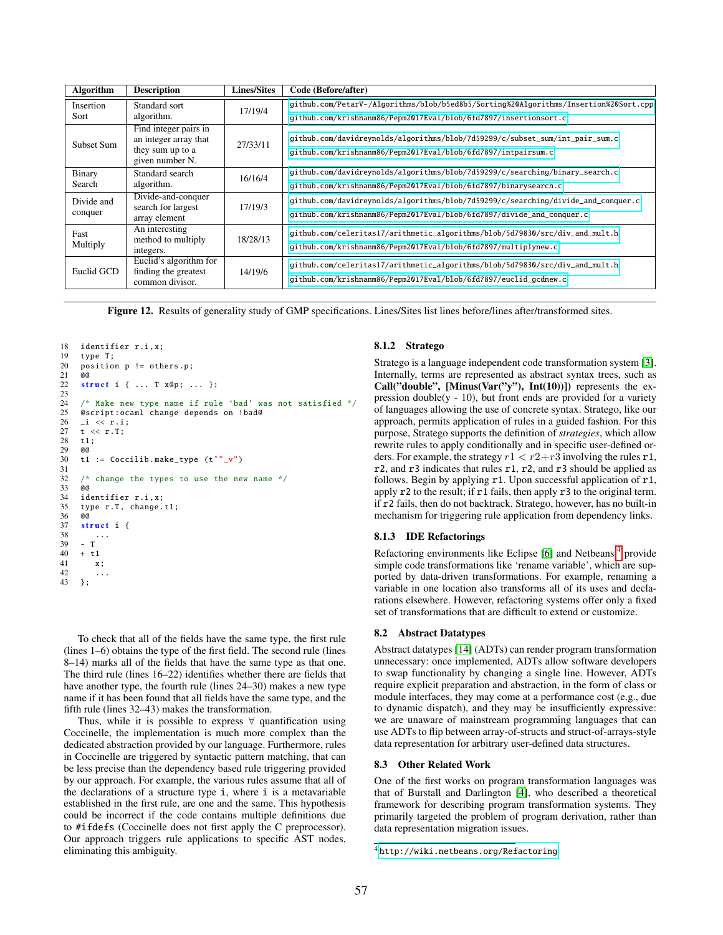| <b>Algorithm</b>      | <b>Description</b>                                                                    | <b>Lines/Sites</b> | Code (Before/after)                                                                                                                           |
|-----------------------|---------------------------------------------------------------------------------------|--------------------|-----------------------------------------------------------------------------------------------------------------------------------------------|
| Insertion             | Standard sort                                                                         | 17/19/4            | github.com/PetarV-/Algorithms/blob/b5ed8b5/Sorting%20Algorithms/Insertion%20Sort.cpp                                                          |
| Sort                  | algorithm.                                                                            |                    | github.com/krishnanm86/Pepm2017Eval/blob/6fd7897/insertionsort.c                                                                              |
| Subset Sum            | Find integer pairs in<br>an integer array that<br>they sum up to a<br>given number N. | 27/33/11           | github.com/davidreynolds/algorithms/blob/7d59299/c/subset_sum/int_pair_sum.c<br>github.com/krishnanm86/Pepm2017Eval/blob/6fd7897/intpairsum.c |
| Binary                | Standard search                                                                       | 16/16/4            | github.com/davidreynolds/algorithms/blob/7d59299/c/searching/binary_search.c                                                                  |
| Search                | algorithm.                                                                            |                    | github.com/krishnanm86/Pepm2017Eval/blob/6fd7897/binarysearch.c                                                                               |
| Divide and<br>conquer | Divide-and-conquer<br>search for largest                                              | 17/19/3            | github.com/davidreynolds/algorithms/blob/7d59299/c/searching/divide_and_conquer.c                                                             |
|                       | array element                                                                         |                    | github.com/krishnanm86/Pepm2017Eval/blob/6fd7897/divide_and_conquer.c                                                                         |
| Fast<br>Multiply      | An interesting                                                                        |                    | github.com/celeritas17/arithmetic_algorithms/blob/5d79830/src/div_and_mult.h                                                                  |
|                       | method to multiply<br>integers.                                                       | 18/28/13           | github.com/krishnanm86/Pepm2017Eval/blob/6fd7897/multiplynew.c                                                                                |
| Euclid GCD            | Euclid's algorithm for                                                                | 14/19/6            | github.com/celeritas17/arithmetic_algorithms/blob/5d79830/src/div_and_mult.h                                                                  |
|                       | finding the greatest<br>common divisor.                                               |                    | github.com/krishnanm86/Pepm2017Eval/blob/6fd7897/euclid_gcdnew.c                                                                              |

<span id="page-10-0"></span>Figure 12. Results of generality study of GMP specifications. Lines/Sites list lines before/lines after/transformed sites.

```
18 identifier r.i,x;<br>19 type T:
19 type T;<br>20 positio
       position p != others.p;
21 \t@0<br>22 st
        struct i { . . . T x@p; . . . }23
24 /* Make new type name if rule 'bad' was not satisfied */<br>25 @script:ocaml change depends on !bad@
        25 @script:ocaml change depends on !bad@
26 _{1} _{2} _{3} _{4} _{5} _{6} _{7} _{8} _{7} _{8} _{7} _{8} _{9} _{1} _{5} _{6} _{7} _{8} _{9} _{1} _{1} _{1} _{2} _{3} _{4} _{5} _{6} _{7} _{8} _{9} _{1} _{1} _{1} _{2} _{3} _{4} _{27 t << r.T;<br>28 t :
       t1:
29 00<br>30 +1t1 := Coccilib.make_type (t^{\hat{m}}_v - v^{\hat{m}})31<br>32
        /* change the types to use the new name */
33 @@<br>34 id<br>35 tv
        identifier r.i.x;
        type r.T, change.t1;
36 @@<br>37 sti
        struct i {
38<br>39
39 - T<br>40 + t40 + t1<br>41 + x41 x;<br>42 .
\begin{array}{ccc} 42 & & \dots \\ 43 & 1 \end{array}3:
```
To check that all of the fields have the same type, the first rule (lines 1–6) obtains the type of the first field. The second rule (lines 8–14) marks all of the fields that have the same type as that one. The third rule (lines 16–22) identifies whether there are fields that have another type, the fourth rule (lines 24–30) makes a new type name if it has been found that all fields have the same type, and the fifth rule (lines 32–43) makes the transformation.

Thus, while it is possible to express  $\forall$  quantification using Coccinelle, the implementation is much more complex than the dedicated abstraction provided by our language. Furthermore, rules in Coccinelle are triggered by syntactic pattern matching, that can be less precise than the dependency based rule triggering provided by our approach. For example, the various rules assume that all of the declarations of a structure type i, where i is a metavariable established in the first rule, are one and the same. This hypothesis could be incorrect if the code contains multiple definitions due to #ifdefs (Coccinelle does not first apply the C preprocessor). Our approach triggers rule applications to specific AST nodes, eliminating this ambiguity.

## 8.1.2 Stratego

Stratego is a language independent code transformation system [\[3\]](#page-11-3). Internally, terms are represented as abstract syntax trees, such as Call("double", [Minus(Var("y"), Int(10))]) represents the expression double(y - 10), but front ends are provided for a variety of languages allowing the use of concrete syntax. Stratego, like our approach, permits application of rules in a guided fashion. For this purpose, Stratego supports the definition of *strategies*, which allow rewrite rules to apply conditionally and in specific user-defined orders. For example, the strategy  $r1 < r2+r3$  involving the rules  $r1$ , r2, and r3 indicates that rules r1, r2, and r3 should be applied as follows. Begin by applying r1. Upon successful application of r1, apply r2 to the result; if r1 fails, then apply r3 to the original term. if r2 fails, then do not backtrack. Stratego, however, has no built-in mechanism for triggering rule application from dependency links.

## 8.1.3 IDE Refactorings

Refactoring environments like Eclipse [\[6\]](#page-11-5) and Netbeans,<sup>[4](#page-10-1)</sup> provide simple code transformations like 'rename variable', which are supported by data-driven transformations. For example, renaming a variable in one location also transforms all of its uses and declarations elsewhere. However, refactoring systems offer only a fixed set of transformations that are difficult to extend or customize.

## 8.2 Abstract Datatypes

Abstract datatypes [\[14\]](#page-11-16) (ADTs) can render program transformation unnecessary: once implemented, ADTs allow software developers to swap functionality by changing a single line. However, ADTs require explicit preparation and abstraction, in the form of class or module interfaces, they may come at a performance cost (e.g., due to dynamic dispatch), and they may be insufficiently expressive: we are unaware of mainstream programming languages that can use ADTs to flip between array-of-structs and struct-of-arrays-style data representation for arbitrary user-defined data structures.

#### 8.3 Other Related Work

One of the first works on program transformation languages was that of Burstall and Darlington [\[4\]](#page-11-17), who described a theoretical framework for describing program transformation systems. They primarily targeted the problem of program derivation, rather than data representation migration issues.

<span id="page-10-1"></span><sup>4</sup> <http://wiki.netbeans.org/Refactoring>